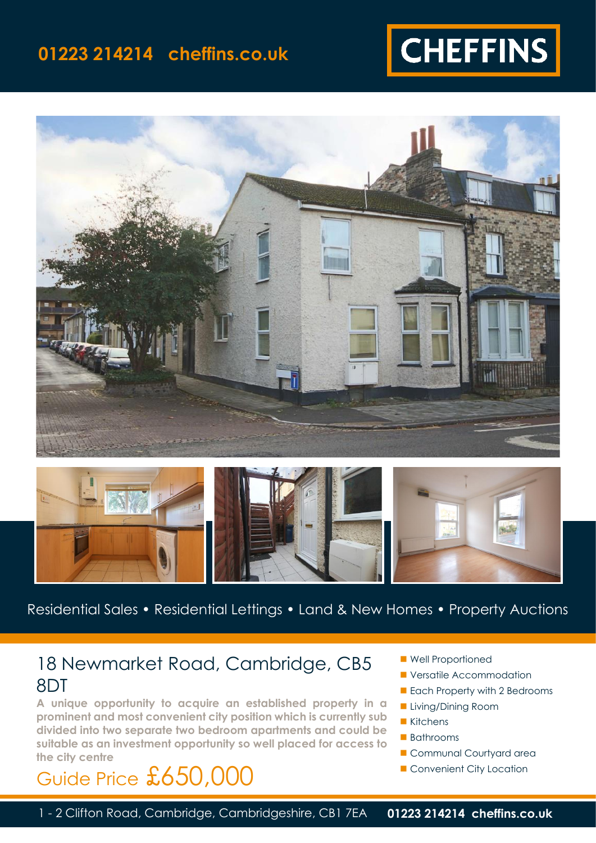## **01223 214214 cheffins.co.uk**







Residential Sales • Residential Lettings • Land & New Homes • Property Auctions

## 18 Newmarket Road, Cambridge, CB5 8DT

**A unique opportunity to acquire an established property in a prominent and most convenient city position which is currently sub divided into two separate two bedroom apartments and could be suitable as an investment opportunity so well placed for access to the city centre**

## Guide Price £650,000

- Well Proportioned
- Versatile Accommodation
- Each Property with 2 Bedrooms
- Living/Dining Room
- Kitchens
- Bathrooms
- Communal Courtyard area
- Convenient City Location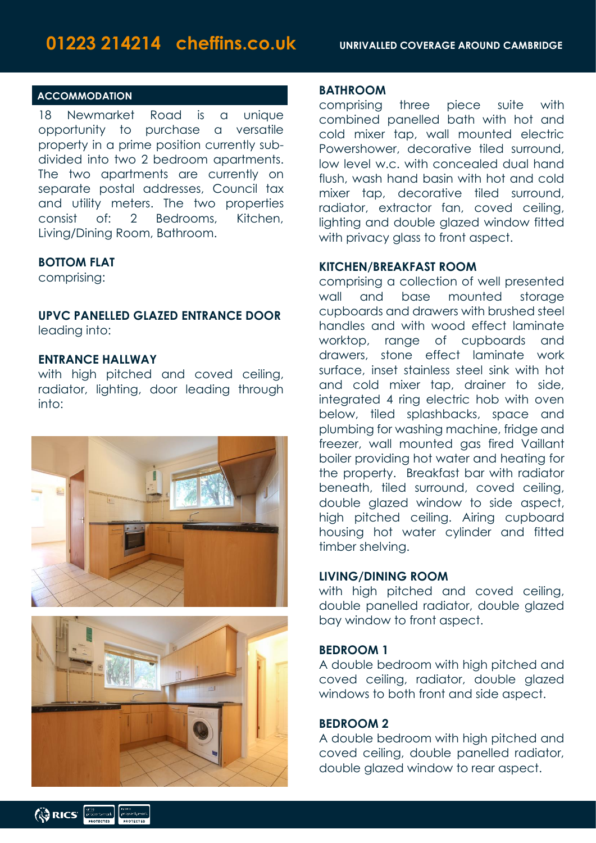#### **ACCOMMODATION**

18 Newmarket Road is a unique opportunity to purchase a versatile property in a prime position currently subdivided into two 2 bedroom apartments. The two apartments are currently on separate postal addresses, Council tax and utility meters. The two properties consist of: 2 Bedrooms, Kitchen, Living/Dining Room, Bathroom.

#### **BOTTOM FLAT**

comprising:

#### **UPVC PANELLED GLAZED ENTRANCE DOOR** leading into:

#### **ENTRANCE HALLWAY**

with high pitched and coved ceiling, radiator, lighting, door leading through into:





#### **BATHROOM**

comprising three piece suite with combined panelled bath with hot and cold mixer tap, wall mounted electric Powershower, decorative tiled surround. low level w.c. with concealed dual hand flush, wash hand basin with hot and cold mixer tap, decorative tiled surround, radiator, extractor fan, coved ceiling, lighting and double glazed window fitted with privacy glass to front aspect.

#### **KITCHEN/BREAKFAST ROOM**

comprising a collection of well presented wall and base mounted storage cupboards and drawers with brushed steel handles and with wood effect laminate worktop, range of cupboards and drawers, stone effect laminate work surface, inset stainless steel sink with hot and cold mixer tap, drainer to side, integrated 4 ring electric hob with oven below, tiled splashbacks, space and plumbing for washing machine, fridge and freezer, wall mounted gas fired Vaillant boiler providing hot water and heating for the property. Breakfast bar with radiator beneath, tiled surround, coved ceiling, double glazed window to side aspect, high pitched ceiling. Airing cupboard housing hot water cylinder and fitted timber shelving.

#### **LIVING/DINING ROOM**

with high pitched and coved ceiling, double panelled radiator, double glazed bay window to front aspect.

#### **BEDROOM 1**

A double bedroom with high pitched and coved ceiling, radiator, double glazed windows to both front and side aspect.

#### **BEDROOM 2**

A double bedroom with high pitched and coved ceiling, double panelled radiator, double glazed window to rear aspect.

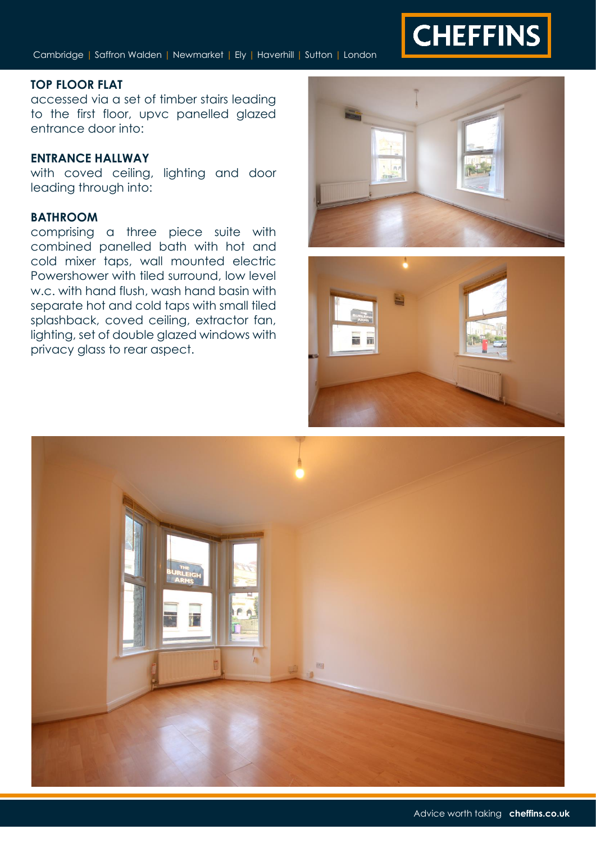

Cambridge | Saffron Walden | Newmarket | Ely | Haverhill | Sutton | London

#### **TOP FLOOR FLAT**

accessed via a set of timber stairs leading to the first floor, upvc panelled glazed entrance door into:

#### **ENTRANCE HALLWAY**

with coved ceiling, lighting and door leading through into:

### **BATHROOM**

comprising a three piece suite with combined panelled bath with hot and cold mixer taps, wall mounted electric Powershower with tiled surround, low level w.c. with hand flush, wash hand basin with separate hot and cold taps with small tiled splashback, coved ceiling, extractor fan, lighting, set of double glazed windows with privacy glass to rear aspect.





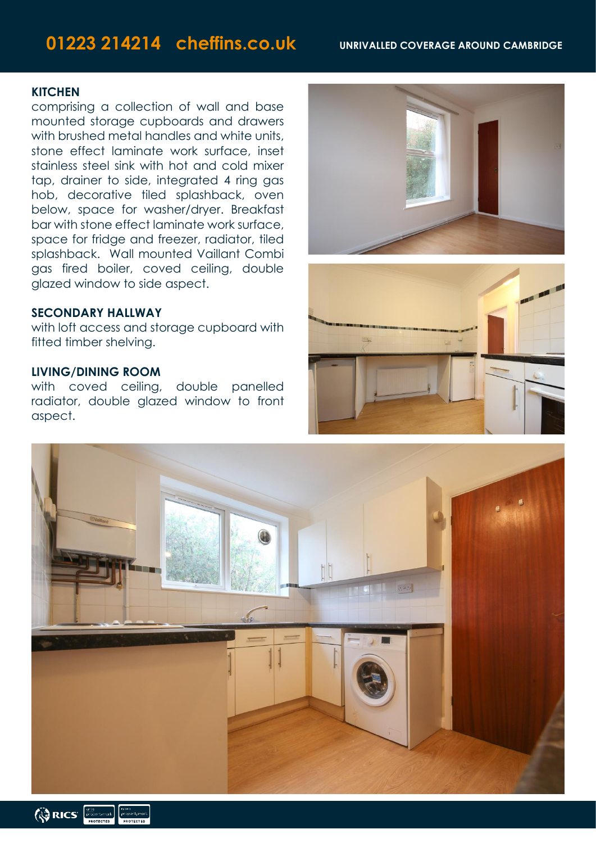## **01223 214214 cheffins.co.uk UNRIVALLED COVERAGE AROUND CAMBRIDGE**

#### **KITCHEN**

comprising a collection of wall and base mounted storage cupboards and drawers with brushed metal handles and white units, stone effect laminate work surface, inset stainless steel sink with hot and cold mixer tap, drainer to side, integrated 4 ring gas hob, decorative tiled splashback, oven below, space for washer/dryer. Breakfast bar with stone effect laminate work surface, space for fridge and freezer, radiator, tiled splashback. Wall mounted Vaillant Combi gas fired boiler, coved ceiling, double glazed window to side aspect.

#### **SECONDARY HALLWAY**

with loft access and storage cupboard with fitted timber shelving.

#### **LIVING/DINING ROOM**

with coved ceiling, double panelled radiator, double glazed window to front aspect.







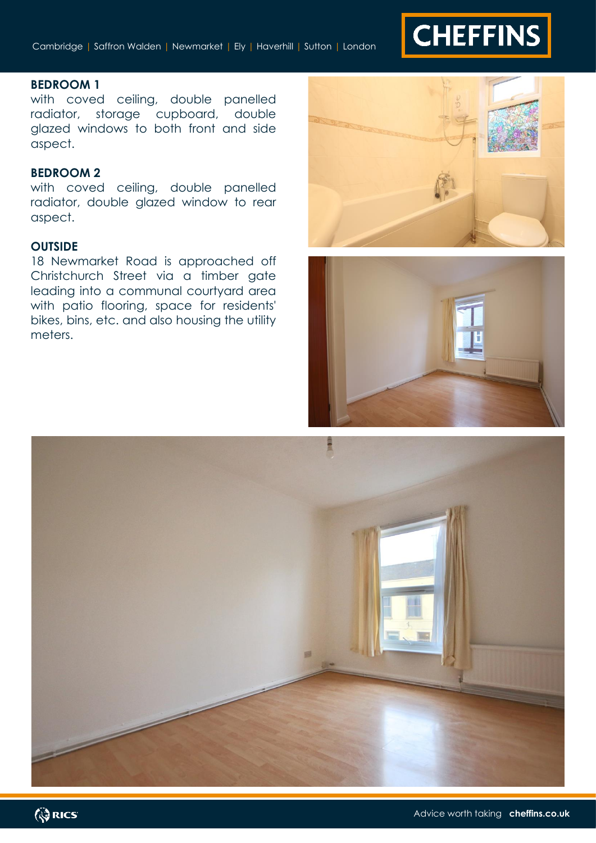# **CHEFFINS**

#### **BEDROOM 1**

with coved ceiling, double panelled radiator, storage cupboard, double glazed windows to both front and side aspect.

#### **BEDROOM 2**

with coved ceiling, double panelled radiator, double glazed window to rear aspect.

#### **OUTSIDE**

18 Newmarket Road is approached off Christchurch Street via a timber gate leading into a communal courtyard area with patio flooring, space for residents' bikes, bins, etc. and also housing the utility meters.